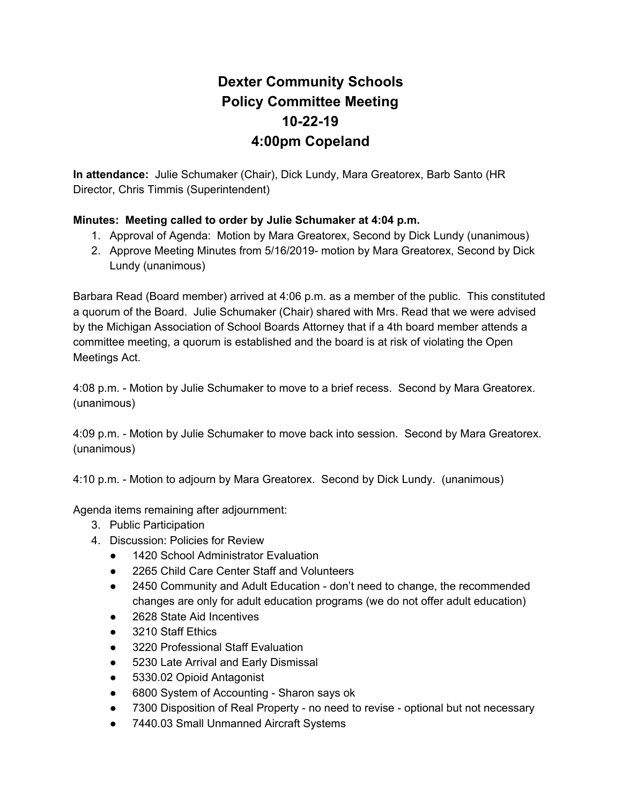## **Dexter Community Schools Policy Committee Meeting 10-22-19 4:00pm Copeland**

**In attendance:** Julie Schumaker (Chair), Dick Lundy, Mara Greatorex, Barb Santo (HR Director, Chris Timmis (Superintendent)

## **Minutes: Meeting called to order by Julie Schumaker at 4:04 p.m.**

- 1. Approval of Agenda: Motion by Mara Greatorex, Second by Dick Lundy (unanimous)
- 2. Approve Meeting Minutes from 5/16/2019- motion by Mara Greatorex, Second by Dick Lundy (unanimous)

Barbara Read (Board member) arrived at 4:06 p.m. as a member of the public. This constituted a quorum of the Board. Julie Schumaker (Chair) shared with Mrs. Read that we were advised by the Michigan Association of School Boards Attorney that if a 4th board member attends a committee meeting, a quorum is established and the board is at risk of violating the Open Meetings Act.

4:08 p.m. - Motion by Julie Schumaker to move to a brief recess. Second by Mara Greatorex. (unanimous)

4:09 p.m. - Motion by Julie Schumaker to move back into session. Second by Mara Greatorex. (unanimous)

4:10 p.m. - Motion to adjourn by Mara Greatorex. Second by Dick Lundy. (unanimous)

Agenda items remaining after adjournment:

- 3. Public Participation
- 4. Discussion: Policies for Review
	- 1420 School Administrator Evaluation
	- 2265 Child Care Center Staff and Volunteers
	- 2450 Community and Adult Education don't need to change, the recommended changes are only for adult education programs (we do not offer adult education)
	- 2628 State Aid Incentives
	- 3210 Staff Ethics
	- 3220 Professional Staff Evaluation
	- 5230 Late Arrival and Early Dismissal
	- 5330.02 Opioid Antagonist
	- 6800 System of Accounting Sharon says ok
	- 7300 Disposition of Real Property no need to revise optional but not necessary
	- 7440.03 Small Unmanned Aircraft Systems